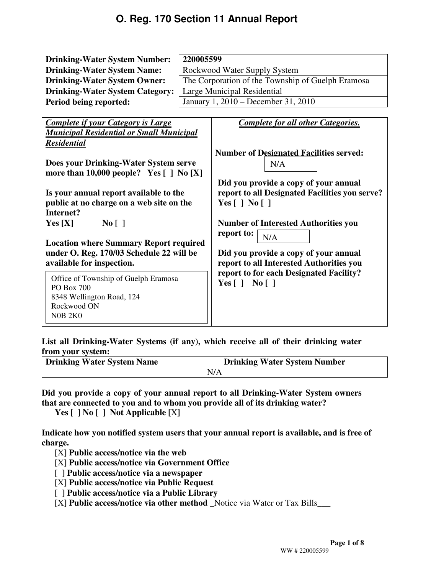| <b>Drinking-Water System Name:</b><br>Rockwood Water Supply System<br>The Corporation of the Township of Guelph Eramosa<br><b>Drinking-Water System Owner:</b><br>Large Municipal Residential<br><b>Drinking-Water System Category:</b><br>January 1, 2010 – December 31, 2010<br>Period being reported:<br><b>Complete for all other Categories.</b><br><b>Complete if your Category is Large</b><br><b>Municipal Residential or Small Municipal</b><br><b>Residential</b> | <b>Drinking-Water System Number:</b>                      | 220005599 |                                                |  |  |  |
|-----------------------------------------------------------------------------------------------------------------------------------------------------------------------------------------------------------------------------------------------------------------------------------------------------------------------------------------------------------------------------------------------------------------------------------------------------------------------------|-----------------------------------------------------------|-----------|------------------------------------------------|--|--|--|
|                                                                                                                                                                                                                                                                                                                                                                                                                                                                             |                                                           |           |                                                |  |  |  |
|                                                                                                                                                                                                                                                                                                                                                                                                                                                                             |                                                           |           |                                                |  |  |  |
|                                                                                                                                                                                                                                                                                                                                                                                                                                                                             |                                                           |           |                                                |  |  |  |
|                                                                                                                                                                                                                                                                                                                                                                                                                                                                             |                                                           |           |                                                |  |  |  |
|                                                                                                                                                                                                                                                                                                                                                                                                                                                                             |                                                           |           |                                                |  |  |  |
|                                                                                                                                                                                                                                                                                                                                                                                                                                                                             |                                                           |           |                                                |  |  |  |
|                                                                                                                                                                                                                                                                                                                                                                                                                                                                             |                                                           |           |                                                |  |  |  |
|                                                                                                                                                                                                                                                                                                                                                                                                                                                                             |                                                           |           |                                                |  |  |  |
|                                                                                                                                                                                                                                                                                                                                                                                                                                                                             |                                                           |           | <b>Number of Designated Facilities served:</b> |  |  |  |
| N/A                                                                                                                                                                                                                                                                                                                                                                                                                                                                         | Does your Drinking-Water System serve                     |           |                                                |  |  |  |
|                                                                                                                                                                                                                                                                                                                                                                                                                                                                             | more than $10,000$ people? Yes $[ ]$ No $[X]$             |           |                                                |  |  |  |
|                                                                                                                                                                                                                                                                                                                                                                                                                                                                             |                                                           |           | Did you provide a copy of your annual          |  |  |  |
|                                                                                                                                                                                                                                                                                                                                                                                                                                                                             | Is your annual report available to the                    |           | report to all Designated Facilities you serve? |  |  |  |
| Yes $\lceil$   No $\lceil$                                                                                                                                                                                                                                                                                                                                                                                                                                                  | public at no charge on a web site on the                  |           |                                                |  |  |  |
| Internet?                                                                                                                                                                                                                                                                                                                                                                                                                                                                   |                                                           |           |                                                |  |  |  |
|                                                                                                                                                                                                                                                                                                                                                                                                                                                                             | Yes[X]<br>No [ ]                                          |           | <b>Number of Interested Authorities you</b>    |  |  |  |
| report to:<br>N/A                                                                                                                                                                                                                                                                                                                                                                                                                                                           |                                                           |           |                                                |  |  |  |
| <b>Location where Summary Report required</b>                                                                                                                                                                                                                                                                                                                                                                                                                               |                                                           |           |                                                |  |  |  |
| under O. Reg. 170/03 Schedule 22 will be<br>Did you provide a copy of your annual                                                                                                                                                                                                                                                                                                                                                                                           |                                                           |           |                                                |  |  |  |
| available for inspection.<br>report to all Interested Authorities you                                                                                                                                                                                                                                                                                                                                                                                                       |                                                           |           |                                                |  |  |  |
| report to for each Designated Facility?                                                                                                                                                                                                                                                                                                                                                                                                                                     | Office of Township of Guelph Eramosa<br><b>PO Box 700</b> |           |                                                |  |  |  |
| Yes $\lceil$   No $\lceil$                                                                                                                                                                                                                                                                                                                                                                                                                                                  |                                                           |           |                                                |  |  |  |
| 8348 Wellington Road, 124                                                                                                                                                                                                                                                                                                                                                                                                                                                   |                                                           |           |                                                |  |  |  |
| Rockwood ON                                                                                                                                                                                                                                                                                                                                                                                                                                                                 |                                                           |           |                                                |  |  |  |
| <b>N0B 2K0</b>                                                                                                                                                                                                                                                                                                                                                                                                                                                              |                                                           |           |                                                |  |  |  |

**List all Drinking-Water Systems (if any), which receive all of their drinking water from your system:** 

| <b>Drinking Water System Name</b> | <b>Drinking Water System Number</b> |
|-----------------------------------|-------------------------------------|
| N/A                               |                                     |

**Did you provide a copy of your annual report to all Drinking-Water System owners that are connected to you and to whom you provide all of its drinking water?** 

**Yes [ ] No [ ] Not Applicable [**X**]** 

**Indicate how you notified system users that your annual report is available, and is free of charge.** 

**[**X**] Public access/notice via the web** 

**[**X**] Public access/notice via Government Office** 

**[ ] Public access/notice via a newspaper** 

**[**X**] Public access/notice via Public Request** 

**[ ] Public access/notice via a Public Library** 

**[**X**] Public access/notice via other method \_**Notice via Water or Tax Bills\_\_\_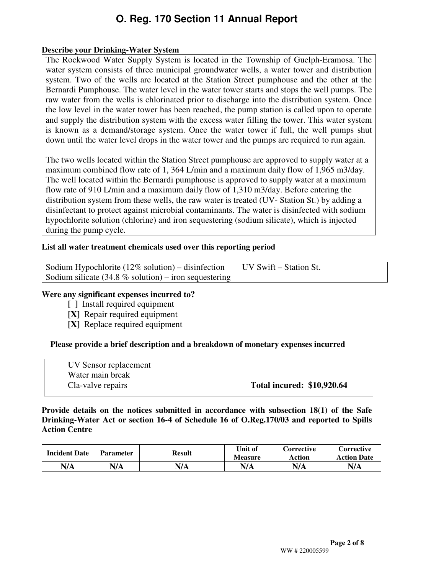#### **Describe your Drinking-Water System**

The Rockwood Water Supply System is located in the Township of Guelph-Eramosa. The water system consists of three municipal groundwater wells, a water tower and distribution system. Two of the wells are located at the Station Street pumphouse and the other at the Bernardi Pumphouse. The water level in the water tower starts and stops the well pumps. The raw water from the wells is chlorinated prior to discharge into the distribution system. Once the low level in the water tower has been reached, the pump station is called upon to operate and supply the distribution system with the excess water filling the tower. This water system is known as a demand/storage system. Once the water tower if full, the well pumps shut down until the water level drops in the water tower and the pumps are required to run again.

The two wells located within the Station Street pumphouse are approved to supply water at a maximum combined flow rate of 1, 364 L/min and a maximum daily flow of 1,965 m3/day. The well located within the Bernardi pumphouse is approved to supply water at a maximum flow rate of 910 L/min and a maximum daily flow of 1,310 m3/day. Before entering the distribution system from these wells, the raw water is treated (UV- Station St.) by adding a disinfectant to protect against microbial contaminants. The water is disinfected with sodium hypochlorite solution (chlorine) and iron sequestering (sodium silicate), which is injected during the pump cycle.

#### **List all water treatment chemicals used over this reporting period**

| Sodium Hypochlorite $(12\% \text{ solution})$ – disinfection | UV Swift – Station St. |
|--------------------------------------------------------------|------------------------|
| Sodium silicate $(34.8 %$ solution) – iron sequestering      |                        |
|                                                              |                        |

#### **Were any significant expenses incurred to?**

- **[ ]** Install required equipment
- **[X]** Repair required equipment
- **[X]** Replace required equipment

#### **Please provide a brief description and a breakdown of monetary expenses incurred**

| UV Sensor replacement |                                   |
|-----------------------|-----------------------------------|
| Water main break      |                                   |
| Cla-valve repairs     | <b>Total incured: \$10,920.64</b> |

#### **Provide details on the notices submitted in accordance with subsection 18(1) of the Safe Drinking-Water Act or section 16-4 of Schedule 16 of O.Reg.170/03 and reported to Spills Action Centre**

| <b>Incident Date</b> | <b>Parameter</b> | Result | Unit of<br><b>Measure</b> | <b>Corrective</b><br>Action | Corrective<br><b>Action Date</b> |
|----------------------|------------------|--------|---------------------------|-----------------------------|----------------------------------|
| N/A                  | N/A              | N/A    | N/A                       | N/A                         | N/A                              |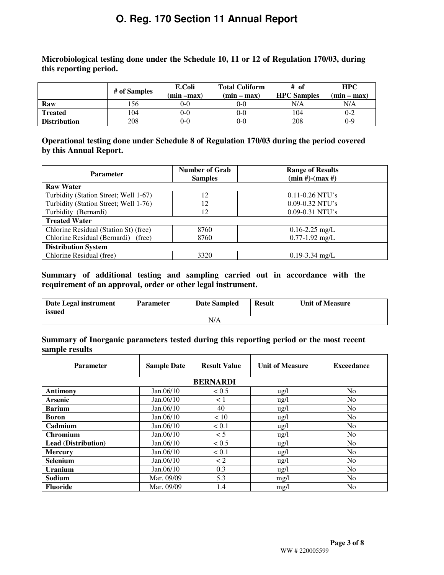**Microbiological testing done under the Schedule 10, 11 or 12 of Regulation 170/03, during this reporting period.** 

|                     | # of Samples | E.Coli<br>(min –max) | <b>Total Coliform</b><br>$(min - max)$ | # of<br><b>HPC</b> Samples | <b>HPC</b><br>$(min - max)$ |
|---------------------|--------------|----------------------|----------------------------------------|----------------------------|-----------------------------|
| Raw                 | l 56         | $0-0$                | 0-0                                    | N/A                        | N/A                         |
| <b>Treated</b>      | 104          | $0-0$                | $0 - 0$                                | 104                        | $0 - 2$                     |
| <b>Distribution</b> | 208          | $0-0$                | $0 - 0$                                | 208                        | $0-9$                       |

**Operational testing done under Schedule 8 of Regulation 170/03 during the period covered by this Annual Report.** 

| <b>Parameter</b>                      | <b>Number of Grab</b><br><b>Samples</b> | <b>Range of Results</b><br>$(min #)-(max #)$ |  |  |  |
|---------------------------------------|-----------------------------------------|----------------------------------------------|--|--|--|
| <b>Raw Water</b>                      |                                         |                                              |  |  |  |
| Turbidity (Station Street; Well 1-67) | 12                                      | $0.11 - 0.26$ NTU's                          |  |  |  |
| Turbidity (Station Street; Well 1-76) | 12                                      | $0.09 - 0.32$ NTU's                          |  |  |  |
| Turbidity (Bernardi)                  | 12                                      | $0.09 - 0.31$ NTU's                          |  |  |  |
| <b>Treated Water</b>                  |                                         |                                              |  |  |  |
| Chlorine Residual (Station St) (free) | 8760                                    | $0.16 - 2.25$ mg/L                           |  |  |  |
| Chlorine Residual (Bernardi) (free)   | 8760                                    | $0.77 - 1.92$ mg/L                           |  |  |  |
| <b>Distribution System</b>            |                                         |                                              |  |  |  |
| Chlorine Residual (free)              | 3320                                    | $0.19 - 3.34$ mg/L                           |  |  |  |

#### **Summary of additional testing and sampling carried out in accordance with the requirement of an approval, order or other legal instrument.**

| Date Legal instrument<br>issued | <b>Parameter</b> | <b>Date Sampled</b> | <b>Result</b> | <b>Unit of Measure</b> |  |  |
|---------------------------------|------------------|---------------------|---------------|------------------------|--|--|
| N/A                             |                  |                     |               |                        |  |  |

#### **Summary of Inorganic parameters tested during this reporting period or the most recent sample results**

| <b>Parameter</b>           | <b>Sample Date</b> | <b>Result Value</b> | <b>Unit of Measure</b> | <b>Exceedance</b> |
|----------------------------|--------------------|---------------------|------------------------|-------------------|
|                            |                    | <b>BERNARDI</b>     |                        |                   |
| <b>Antimony</b>            | Jan.06/10          | < 0.5               | ug/l                   | N <sub>o</sub>    |
| <b>Arsenic</b>             | Jan.06/10          | $\leq 1$            | $\frac{u g}{l}$        | N <sub>0</sub>    |
| <b>Barium</b>              | Jan.06/10          | 40                  | $\frac{u g}{l}$        | N <sub>o</sub>    |
| <b>Boron</b>               | Jan.06/10          | < 10                | $\frac{u g}{l}$        | N <sub>o</sub>    |
| Cadmium                    | Jan.06/10          | < 0.1               | ug/l                   | N <sub>o</sub>    |
| <b>Chromium</b>            | Jan.06/10          | < 5                 | $\frac{u g}{l}$        | N <sub>o</sub>    |
| <b>Lead (Distribution)</b> | Jan.06/10          | < 0.5               | $\frac{u}{2}$          | N <sub>o</sub>    |
| <b>Mercury</b>             | Jan.06/10          | < 0.1               | $\frac{u g}{l}$        | N <sub>o</sub>    |
| Selenium                   | Jan.06/10          | $\lt 2$             | $\frac{u g}{l}$        | N <sub>o</sub>    |
| <b>Uranium</b>             | Jan.06/10          | 0.3                 | $\frac{u g}{l}$        | N <sub>0</sub>    |
| Sodium                     | Mar. 09/09         | 5.3                 | mg/l                   | N <sub>o</sub>    |
| <b>Fluoride</b>            | Mar. 09/09         | 1.4                 | mg/l                   | N <sub>o</sub>    |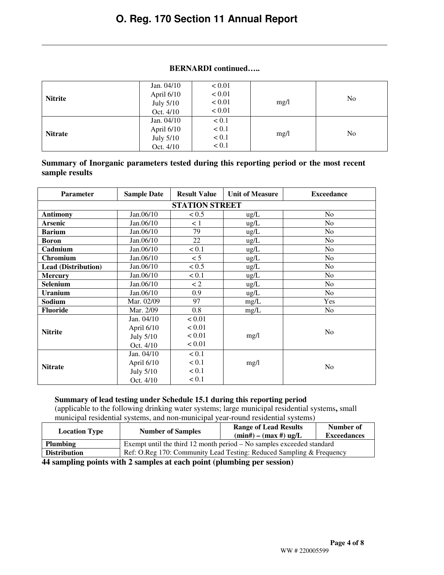#### **BERNARDI continued…..**

| <b>Nitrite</b> | Jan. 04/10<br>April 6/10<br>July 5/10<br>Oct. 4/10 | < 0.01<br>< 0.01<br>< 0.01<br>< 0.01 | mg/l | N <sub>o</sub> |
|----------------|----------------------------------------------------|--------------------------------------|------|----------------|
| <b>Nitrate</b> | Jan. 04/10<br>April 6/10<br>July 5/10<br>Oct. 4/10 | < 0.1<br>< 0.1<br>< 0.1<br>< 0.1     | mg/l | No             |

#### **Summary of Inorganic parameters tested during this reporting period or the most recent sample results**

| <b>Parameter</b>           | <b>Sample Date</b> | <b>Result Value</b> | <b>Unit of Measure</b> | <b>Exceedance</b> |  |  |  |  |
|----------------------------|--------------------|---------------------|------------------------|-------------------|--|--|--|--|
| <b>STATION STREET</b>      |                    |                     |                        |                   |  |  |  |  |
| <b>Antimony</b>            | Jan.06/10          | < 0.5               | $\mu$ g/L              | N <sub>0</sub>    |  |  |  |  |
| <b>Arsenic</b>             | Jan.06/10          | $\leq 1$            | ug/L                   | N <sub>o</sub>    |  |  |  |  |
| <b>Barium</b>              | Jan.06/10          | 79                  | ug/L                   | N <sub>o</sub>    |  |  |  |  |
| <b>Boron</b>               | Jan.06/10          | 22                  | $\mu$ g/L              | No                |  |  |  |  |
| Cadmium                    | Jan.06/10          | < 0.1               | ug/L                   | N <sub>o</sub>    |  |  |  |  |
| Chromium                   | Jan.06/10          | < 5                 | ug/L                   | N <sub>o</sub>    |  |  |  |  |
| <b>Lead (Distribution)</b> | Jan.06/10          | < 0.5               | $\mu$ g/L              | No                |  |  |  |  |
| <b>Mercury</b>             | Jan.06/10          | < 0.1               | ug/L                   | N <sub>o</sub>    |  |  |  |  |
| Selenium                   | Jan.06/10          | $\lt 2$             | ug/L                   | N <sub>o</sub>    |  |  |  |  |
| <b>Uranium</b>             | Jan.06/10          | 0.9                 | $\mu$ g/L              | N <sub>o</sub>    |  |  |  |  |
| Sodium                     | Mar. 02/09         | 97                  | mg/L                   | Yes               |  |  |  |  |
| <b>Fluoride</b>            | Mar. 2/09          | 0.8                 | mg/L                   | N <sub>o</sub>    |  |  |  |  |
|                            | Jan. 04/10         | < 0.01              |                        |                   |  |  |  |  |
| <b>Nitrite</b>             | April 6/10         | < 0.01              |                        | N <sub>o</sub>    |  |  |  |  |
|                            | July 5/10          | < 0.01              | mg/1                   |                   |  |  |  |  |
|                            | Oct. 4/10          | < 0.01              |                        |                   |  |  |  |  |
|                            | Jan. 04/10         | < 0.1               |                        |                   |  |  |  |  |
| <b>Nitrate</b>             | April 6/10         | < 0.1               | mg/l                   | N <sub>o</sub>    |  |  |  |  |
|                            | July 5/10          | < 0.1               |                        |                   |  |  |  |  |
|                            | Oct. 4/10          | < 0.1               |                        |                   |  |  |  |  |

#### **Summary of lead testing under Schedule 15.1 during this reporting period**

(applicable to the following drinking water systems; large municipal residential systems**,** small municipal residential systems, and non-municipal year-round residential systems)

| <b>Location Type</b> | <b>Number of Samples</b>                                                | <b>Range of Lead Results</b><br>$(min#) - (max#) ug/L$               | Number of<br><b>Exceedances</b> |  |  |  |
|----------------------|-------------------------------------------------------------------------|----------------------------------------------------------------------|---------------------------------|--|--|--|
| <b>Plumbing</b>      | Exempt until the third 12 month period $-$ No samples exceeded standard |                                                                      |                                 |  |  |  |
| <b>Distribution</b>  |                                                                         | Ref: O.Reg 170: Community Lead Testing: Reduced Sampling & Frequency |                                 |  |  |  |

**44 sampling points with 2 samples at each point (plumbing per session)**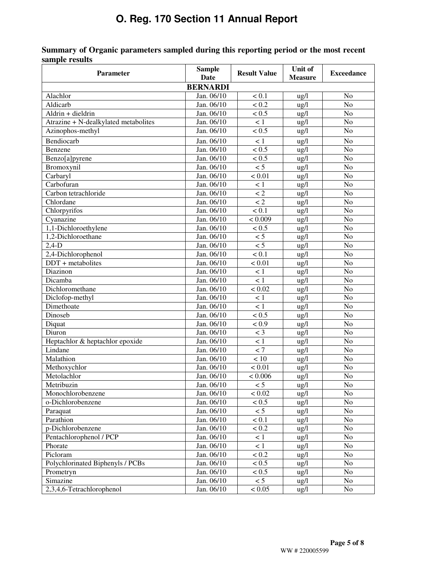| <b>Parameter</b>                     | <b>Sample</b><br>Date | <b>Result Value</b> | Unit of<br><b>Measure</b> | <b>Exceedance</b> |
|--------------------------------------|-----------------------|---------------------|---------------------------|-------------------|
|                                      | <b>BERNARDI</b>       |                     |                           |                   |
| Alachlor                             | Jan. 06/10            | < 0.1               | ug/l                      | N <sub>o</sub>    |
| Aldicarb                             | Jan. 06/10            | < 0.2               | $\frac{u}{g}$             | N <sub>o</sub>    |
| Aldrin + dieldrin                    | Jan. 06/10            | < 0.5               | $\frac{u g}{l}$           | N <sub>o</sub>    |
| Atrazine + N-dealkylated metabolites | Jan. 06/10            | < 1                 | $\frac{u}{g}$             | No                |
| Azinophos-methyl                     | Jan. 06/10            | $\sqrt{0.5}$        | $\frac{u g}{l}$           | N <sub>o</sub>    |
| Bendiocarb                           | Jan. 06/10            | < 1                 | $\frac{u}{g}$             | No                |
| Benzene                              | Jan. 06/10            | < 0.5               | ug/l                      | N <sub>o</sub>    |
| Benzo[a]pyrene                       | Jan. 06/10            | < 0.5               | ug/l                      | N <sub>o</sub>    |
| Bromoxynil                           | Jan. 06/10            | $\overline{5}$      | ug/l                      | N <sub>o</sub>    |
| Carbaryl                             | Jan. 06/10            | < 0.01              | $\frac{u g}{l}$           | N <sub>o</sub>    |
| Carbofuran                           | Jan. 06/10            | < 1                 | $\frac{u}{g}$             | N <sub>o</sub>    |
| Carbon tetrachloride                 | Jan. 06/10            | $\lt 2$             | ug/l                      | N <sub>o</sub>    |
| Chlordane                            | Jan. 06/10            | $\lt 2$             | ug/l                      | N <sub>o</sub>    |
| Chlorpyrifos                         | Jan. 06/10            | < 0.1               | ug/l                      | N <sub>o</sub>    |
| Cyanazine                            | Jan. 06/10            | < 0.009             | ug/l                      | N <sub>o</sub>    |
| 1,1-Dichloroethylene                 | Jan. 06/10            | < 0.5               | ug/1                      | N <sub>o</sub>    |
| 1.2-Dichloroethane                   | Jan. 06/10            | < 5                 | $\frac{u g}{l}$           | N <sub>o</sub>    |
| $2,4-D$                              | Jan. 06/10            | $\overline{5}$      | $\frac{u g}{l}$           | N <sub>o</sub>    |
| 2,4-Dichlorophenol                   | Jan. 06/10            | $\sqrt{0.1}$        | $\frac{u g}{l}$           | N <sub>o</sub>    |
| $DDT + metabolites$                  | Jan. 06/10            | $\frac{1}{0.01}$    | $\frac{u g}{l}$           | N <sub>o</sub>    |
| Diazinon                             | Jan. 06/10            | $\lt 1$             | ug/l                      | N <sub>o</sub>    |
| Dicamba                              | Jan. 06/10            | $\overline{<1}$     | $\frac{u g}{l}$           | N <sub>o</sub>    |
| Dichloromethane                      | Jan. 06/10            | < 0.02              | $\frac{u g}{l}$           | N <sub>o</sub>    |
| Diclofop-methyl                      | Jan. 06/10            | $\leq 1$            | $\frac{u g}{l}$           | N <sub>o</sub>    |
| Dimethoate                           | Jan. 06/10            | $\overline{<1}$     | $\frac{u g}{l}$           | N <sub>o</sub>    |
| Dinoseb                              | Jan. 06/10            | $\sqrt{0.5}$        | $\frac{u g}{l}$           | N <sub>o</sub>    |
| Diquat                               | Jan. 06/10            | < 0.9               | ug/l                      | No                |
| Diuron                               | Jan. 06/10            | $<$ 3               | $\frac{u g}{l}$           | No                |
| Heptachlor & heptachlor epoxide      | Jan. 06/10            | < 1                 | $\frac{u g}{l}$           | No                |
| Lindane                              | Jan. 06/10            | $\overline{z}$      | ug/l                      | No                |
| Malathion                            | Jan. 06/10            | < 10                | ug/l                      | N <sub>o</sub>    |
| Methoxychlor                         | Jan. 06/10            | $\frac{1}{0.01}$    | ug/l                      | N <sub>o</sub>    |
| Metolachlor                          | Jan. 06/10            | < 0.006             | ug/l                      | No                |
| Metribuzin                           | Jan. 06/10            | < 5                 | $\frac{u g}{l}$           | No                |
| Monochlorobenzene                    | Jan. 06/10            | < 0.02              | $\frac{u g}{l}$           | No                |
| o-Dichlorobenzene                    | Jan. 06/10            | < 0.5               | ug/l                      | No                |
| Paraquat                             | Jan. 06/10            | < 5                 | ug/l                      | N <sub>o</sub>    |
| Parathion                            | Jan. 06/10            | $< 0.1$             | ug/l                      | No                |
| p-Dichlorobenzene                    | Jan. 06/10            | < 0.2               | ug/l                      | No                |
| Pentachlorophenol / PCP              | Jan. 06/10            | < 1                 | ug/l                      | No                |
| Phorate                              | Jan. 06/10            | < 1                 | $\frac{u g}{l}$           | No                |
| Picloram                             | Jan. 06/10            | < 0.2               | ug/l                      | No                |
| Polychlorinated Biphenyls / PCBs     | Jan. 06/10            | < 0.5               | ug/l                      | No                |
| Prometryn                            | Jan. 06/10            | < 0.5               | ug/l                      | No                |
| Simazine                             | Jan. 06/10            | < 5                 | ug/l                      | No                |
| 2,3,4,6-Tetrachlorophenol            | Jan. 06/10            | < 0.05              | ug/l                      | No                |

### **Summary of Organic parameters sampled during this reporting period or the most recent sample results**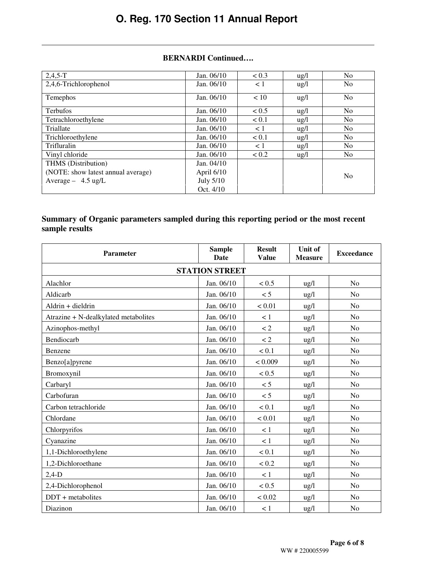#### **BERNARDI Continued….**

| $2,4,5-T$                          | Jan. 06/10 | < 0.3    | $\frac{u}{2}$   | N <sub>o</sub> |
|------------------------------------|------------|----------|-----------------|----------------|
| 2,4,6-Trichlorophenol              | Jan. 06/10 | < 1      | $\frac{u g}{l}$ | N <sub>0</sub> |
| Temephos                           | Jan. 06/10 | < 10     | $\frac{u g}{l}$ | N <sub>0</sub> |
| <b>Terbufos</b>                    | Jan. 06/10 | < 0.5    | $\frac{u g}{l}$ | N <sub>o</sub> |
| Tetrachloroethylene                | Jan. 06/10 | < 0.1    | $\frac{u}{2}$   | N <sub>o</sub> |
| Triallate                          | Jan. 06/10 | $\leq 1$ | $\frac{u}{2}$   | No             |
| Trichloroethylene                  | Jan. 06/10 | < 0.1    | $\frac{u}{g}$   | N <sub>o</sub> |
| Trifluralin                        | Jan. 06/10 | $\leq 1$ | $u\text{g}/l$   | N <sub>o</sub> |
| Vinyl chloride                     | Jan. 06/10 | < 0.2    | $\frac{u}{2}$   | No             |
| THMS (Distribution)                | Jan. 04/10 |          |                 |                |
| (NOTE: show latest annual average) | April 6/10 |          |                 | N <sub>0</sub> |
| Average $-4.5$ ug/L                | July 5/10  |          |                 |                |
|                                    | Oct. 4/10  |          |                 |                |

### **Summary of Organic parameters sampled during this reporting period or the most recent sample results**

| <b>Parameter</b>                     | <b>Sample</b><br><b>Date</b> | <b>Result</b><br><b>Value</b> | Unit of<br><b>Measure</b> | <b>Exceedance</b> |
|--------------------------------------|------------------------------|-------------------------------|---------------------------|-------------------|
| <b>STATION STREET</b>                |                              |                               |                           |                   |
| Alachlor                             | Jan. 06/10                   | < 0.5                         | $\frac{u g}{l}$           | No                |
| Aldicarb                             | Jan. 06/10                   | $\leq 5$                      | $\frac{u}{g}$             | N <sub>o</sub>    |
| Aldrin + dieldrin                    | Jan. 06/10                   | < 0.01                        | $\frac{u g}{l}$           | No                |
| Atrazine + N-dealkylated metabolites | Jan. 06/10                   | $\lt 1$                       | $\frac{u g}{l}$           | N <sub>o</sub>    |
| Azinophos-methyl                     | Jan. 06/10                   | $\ensuremath{<} 2$            | $\frac{u}{2}$             | No                |
| Bendiocarb                           | Jan. 06/10                   | $\lt 2$                       | $\frac{u}{2}$             | N <sub>o</sub>    |
| Benzene                              | Jan. 06/10                   | < 0.1                         | $\frac{u}{2}$             | N <sub>0</sub>    |
| Benzo[a]pyrene                       | Jan. 06/10                   | < 0.009                       | $\frac{u g}{l}$           | No                |
| Bromoxynil                           | Jan. 06/10                   | < 0.5                         | $\frac{u g}{l}$           | N <sub>o</sub>    |
| Carbaryl                             | Jan. 06/10                   | $\leq 5$                      | $\frac{u g}{l}$           | N <sub>o</sub>    |
| Carbofuran                           | Jan. 06/10                   | < 5                           | $\frac{u g}{l}$           | N <sub>o</sub>    |
| Carbon tetrachloride                 | Jan. 06/10                   | < 0.1                         | $\frac{u g}{l}$           | No                |
| Chlordane                            | Jan. 06/10                   | < 0.01                        | $\frac{u g}{l}$           | N <sub>o</sub>    |
| Chlorpyrifos                         | Jan. 06/10                   | $\lt 1$                       | $\frac{u}{g}$             | N <sub>o</sub>    |
| Cyanazine                            | Jan. 06/10                   | < 1                           | $\frac{u g}{l}$           | No                |
| 1,1-Dichloroethylene                 | Jan. 06/10                   | < 0.1                         | $\frac{u g}{l}$           | N <sub>o</sub>    |
| 1,2-Dichloroethane                   | Jan. 06/10                   | < 0.2                         | $\frac{u g}{l}$           | No                |
| $2,4-D$                              | Jan. 06/10                   | < 1                           | $\frac{u g}{l}$           | N <sub>o</sub>    |
| 2,4-Dichlorophenol                   | Jan. 06/10                   | < 0.5                         | $\frac{u g}{l}$           | No                |
| $DDT + metabolic$                    | Jan. 06/10                   | < 0.02                        | $\frac{u g}{l}$           | N <sub>0</sub>    |
| Diazinon                             | Jan. 06/10                   | < 1                           | ug/l                      | N <sub>o</sub>    |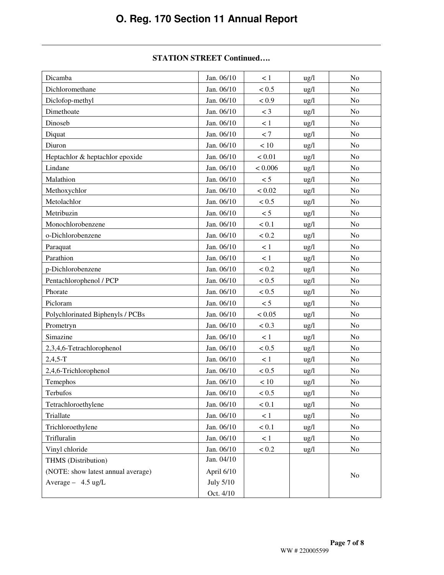#### **STATION STREET Continued….**

| Dicamba                            | Jan. 06/10 | $\lt 1$ | $\frac{u g}{l}$ | No             |
|------------------------------------|------------|---------|-----------------|----------------|
| Dichloromethane                    | Jan. 06/10 | < 0.5   | $\frac{u g}{l}$ | N <sub>o</sub> |
| Diclofop-methyl                    | Jan. 06/10 | < 0.9   | $\frac{u g}{l}$ | N <sub>o</sub> |
| Dimethoate                         | Jan. 06/10 | $<$ 3   | $\frac{u}{g}$   | No             |
| Dinoseb                            | Jan. 06/10 | < 1     | $\frac{u}{g}$   | N <sub>o</sub> |
| Diquat                             | Jan. 06/10 | < 7     | $\frac{u}{g}$   | N <sub>o</sub> |
| Diuron                             | Jan. 06/10 | $<10$   | $\frac{u g}{l}$ | N <sub>o</sub> |
| Heptachlor & heptachlor epoxide    | Jan. 06/10 | < 0.01  | ug/l            | N <sub>o</sub> |
| Lindane                            | Jan. 06/10 | < 0.006 | $\frac{u}{g}$   | No             |
| Malathion                          | Jan. 06/10 | < 5     | $\frac{u g}{l}$ | No             |
| Methoxychlor                       | Jan. 06/10 | < 0.02  | $\frac{u}{g}$   | No             |
| Metolachlor                        | Jan. 06/10 | < 0.5   | $\frac{u g}{l}$ | N <sub>o</sub> |
| Metribuzin                         | Jan. 06/10 | < 5     | $\frac{u g}{l}$ | N <sub>o</sub> |
| Monochlorobenzene                  | Jan. 06/10 | < 0.1   | $\frac{u g}{l}$ | N <sub>o</sub> |
| o-Dichlorobenzene                  | Jan. 06/10 | < 0.2   | $\frac{u g}{l}$ | No             |
| Paraquat                           | Jan. 06/10 | < 1     | $\frac{u}{g}$   | No             |
| Parathion                          | Jan. 06/10 | < 1     | $\frac{u}{2}$   | No             |
| p-Dichlorobenzene                  | Jan. 06/10 | < 0.2   | $\frac{u g}{l}$ | N <sub>o</sub> |
| Pentachlorophenol / PCP            | Jan. 06/10 | < 0.5   | ug/l            | N <sub>o</sub> |
| Phorate                            | Jan. 06/10 | < 0.5   | $\frac{u g}{l}$ | No             |
| Picloram                           | Jan. 06/10 | < 5     | $\frac{u}{g}$   | No             |
| Polychlorinated Biphenyls / PCBs   | Jan. 06/10 | < 0.05  | $\frac{u g}{l}$ | No             |
| Prometryn                          | Jan. 06/10 | < 0.3   | $\frac{u}{g}$   | No             |
| Simazine                           | Jan. 06/10 | < 1     | $\frac{u g}{l}$ | No             |
| 2,3,4,6-Tetrachlorophenol          | Jan. 06/10 | < 0.5   | $\frac{u g}{l}$ | N <sub>o</sub> |
| $2,4,5-T$                          | Jan. 06/10 | < 1     | $\frac{u g}{l}$ | N <sub>o</sub> |
| 2,4,6-Trichlorophenol              | Jan. 06/10 | < 0.5   | $\frac{u g}{l}$ | No             |
| Temephos                           | Jan. 06/10 | $<10\,$ | $\frac{u g}{l}$ | No             |
| <b>Terbufos</b>                    | Jan. 06/10 | < 0.5   | ug/l            | No             |
| Tetrachloroethylene                | Jan. 06/10 | < 0.1   | $\frac{u g}{l}$ | No             |
| Triallate                          | Jan. 06/10 | < 1     | ug/l            | No             |
| Trichloroethylene                  | Jan. 06/10 | < 0.1   | $\frac{u g}{l}$ | N <sub>0</sub> |
| Trifluralin                        | Jan. 06/10 | < 1     | $\frac{u g}{l}$ | No             |
| Vinyl chloride                     | Jan. 06/10 | < 0.2   | $\frac{u g}{l}$ | No             |
| THMS (Distribution)                | Jan. 04/10 |         |                 |                |
| (NOTE: show latest annual average) | April 6/10 |         |                 | N <sub>0</sub> |
| Average - 4.5 ug/L                 | July 5/10  |         |                 |                |
|                                    | Oct. 4/10  |         |                 |                |